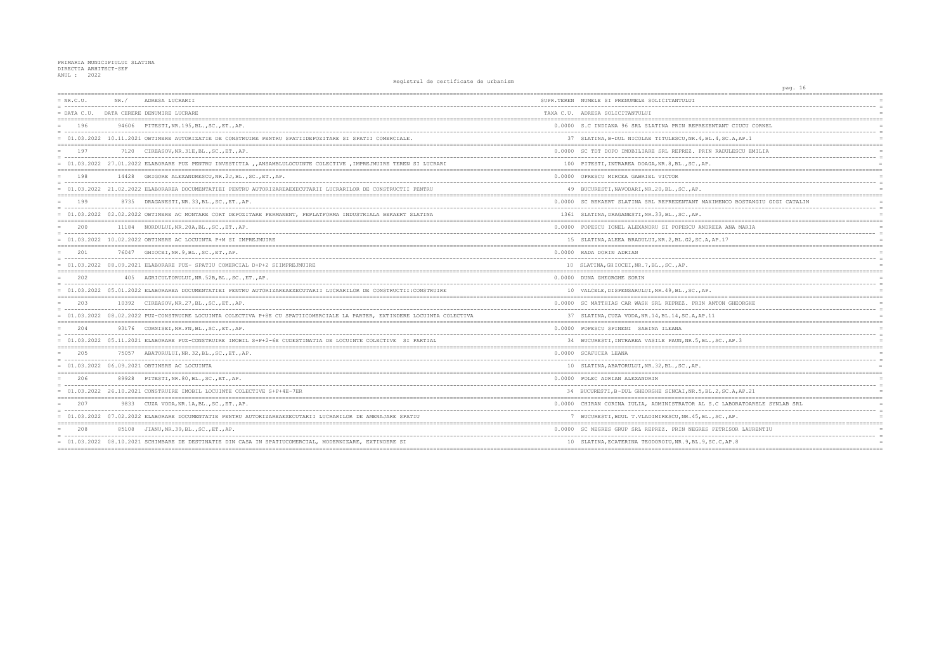| $= NR.C.U.$ | NR. / | ADRESA LUCRARII                                                                                                            | SUPR.TEREN NUMELE SI PRENUMELE SOLICITANTULUI         |
|-------------|-------|----------------------------------------------------------------------------------------------------------------------------|-------------------------------------------------------|
|             |       | = DATA C.U. DATA CERERE DENUMIRE LUCRARE                                                                                   | TAXA C.U. ADRESA SOLICITANTULUI                       |
| 196         |       | 94606 PITESTI, NR. 195, BL., SC., ET., AP.                                                                                 | 0.0000 S.C INDIANA 96 SRL SLATINA PRIN REPREZENTA     |
|             |       | = 01.03.2022 10.11.2021 OBTINERE AUTORIZATIE DE CONSTRUIRE PENTRU SPATIIDEPOZITARE SI SPATII COMERCIALE.                   | 37 SLATINA, B-DUL NICOLAE TITULESCU, NR. 4, BL. 4,    |
| 197         |       | 7120 CIREASOV, NR. 31E, BL., SC., ET., AP.                                                                                 | 0.0000 SC TDT DOPO IMOBILIARE SRL REPREZ. PRIN RA     |
|             |       | = 01.03.2022 27.01.2022 ELABORARE PUZ PENTRU INVESTITIA , ANSAMBLULOCUINTE COLECTIVE , IMPREJMUIRE TEREN SI LUCRARI        | 100 PITESTI, INTRAREA DOAGA, NR. 8, BL., SC., AP.     |
| 198         |       | 14428 GRIGORE ALEXANDRESCU, NR. 2J, BL., SC., ET., AP.                                                                     | 0.0000 OPRESCU MIRCEA GABRIEL VICTOR                  |
|             |       | = 01.03.2022 21.02.2022 ELABORAREA DOCUMENTATIEI PENTRU AUTORIZAREAEXECUTARII LUCRARILOR DE CONSTRUCTII PENTRU             | 49 BUCURESTI, NAVODARI, NR. 20, BL., SC., AP.         |
| 199         |       | 8735 DRAGANESTI, NR. 33, BL., SC., ET., AP.                                                                                | 0.0000 SC BEKAERT SLATINA SRL REPREZENTANT MAXIME     |
|             |       | = 01.03.2022 02.02.2022 OBTINERE AC MONTARE CORT DEPOZITARE PERMANENT, PEPLATFORMA INDUSTRIALA BEKAERT SLATINA             | 1361 SLATINA, DRAGANESTI, NR.33, BL., SC., AP.        |
| 200         |       | 11184 NORDULUI, NR. 20A, BL., SC., ET., AP.                                                                                | 0.0000 POPESCU IONEL ALEXANDRU SI POPESCU ANDREEA     |
|             |       | $= 01.03.2022 10.02.2022$ OBTINERE AC LOCUINTA P+M SI IMPREJMUIRE                                                          | 15 SLATINA, ALEEA BRADULUI, NR. 2, BL. G2, SC. A, AP. |
| 201         |       | 76047 GHIOCEI, NR. 9, BL., SC., ET., AP.                                                                                   | 0.0000 RADA DORIN ADRIAN                              |
|             |       | = 01.03.2022 08.09.2021 ELABORARE PUZ- SPATIU COMERCIAL D+P+2 SIIMPREJMUIRE                                                | 10 SLATINA, GHIOCEI, NR. 7, BL., SC., AP.             |
| 2.02        |       | 405 AGRICULTORULUI, NR. 52B, BL., SC., ET., AP.                                                                            | 0.0000 DUNA GHEORGHE SORIN                            |
|             |       | = 01.03.2022 05.01.2022 ELABORAREA DOCUMENTATIEI PENTRU AUTORIZAREAEXECUTARII LUCRARILOR DE CONSTRUCTII:CONSTRUIRE         | 10 VALCELE, DISPENSARULUI, NR. 49, BL., SC., AP.      |
| 203         |       | 10392 CIREASOV, NR. 27, BL., SC., ET., AP.                                                                                 | 0.0000 SC MATTHIAS CAR WASH SRL REPREZ. PRIN ANTO     |
|             |       | = 01.03.2022 08.02.2022 PUZ-CONSTRUIRE LOCUINTA COLECTIVA P+8E CU SPATIICOMERCIALE LA PARTER, EXTINDERE LOCUINTA COLECTIVA | 37 SLATINA, CUZA VODA, NR. 14, BL. 14, SC. A, AP. 11  |
| 204         |       | 93176 CORNISEI, NR. FN, BL., SC., ET., AP.                                                                                 | 0.0000 POPESCU SPINENI SABINA ILEANA                  |
|             |       | = 01.03.2022 05.11.2021 ELABORARE PUZ-CONSTRUIRE IMOBIL S+P+2-6E CUDESTINATIA DE LOCUINTE COLECTIVE SI PARTIAL             | 34 BUCURESTI, INTRAREA VASILE PAUN, NR. 5, BL., SC    |
| 205         |       | 75057 ABATORULUI, NR. 32, BL., SC., ET., AP.                                                                               | 0.0000 SCAFUCEA LEANA                                 |
|             |       | = 01.03.2022 06.09.2021 OBTINERE AC LOCUINTA                                                                               | 10 SLATINA, ABATORULUI, NR.32, BL., SC., AP.          |
| 206         |       | 89928 PITESTI, NR.80, BL., SC., ET., AP.                                                                                   | 0.0000 POLEC ADRIAN ALEXANDRIN                        |
|             |       | = 01.03.2022 26.10.2021 CONSTRUIRE IMOBIL LOCUINTE COLECTIVE S+P+4E-7ER                                                    | 34 BUCURESTI, B-DUL GHEORGHE SINCAI, NR. 5, BL. 2,    |
| 207         |       | 9833 CUZA VODA, NR.1A, BL., SC., ET., AP.                                                                                  | 0.0000 CHIRAN CORINA IULIA, ADMINISTRATOR AL S.C      |
|             |       | = 01.03.2022 07.02.2022 ELABORARE DOCUMENTATIE PENTRU AUTORIZAREAEXECUTARII LUCRARILOR DE AMENAJARE SPATIU                 | 7 BUCURESTI, BDUL T.VLADIMIRESCU, NR. 45, BL., SC     |
| 208         |       | 85108 JIANU, NR. 39, BL., SC., ET., AP.                                                                                    | 0.0000 SC NEGRES GRUP SRL REPREZ. PRIN NEGRES PET     |
|             |       | = 01.03.2022 08.10.2021 SCHIMBARE DE DESTINATIE DIN CASA IN SPATIUCOMERCIAL, MODERNIZARE, EXTINDERE SI                     | 10 SLATINA, ECATERINA TEODOROIU, NR. 9, BL. 9, SC. C  |
|             |       |                                                                                                                            |                                                       |

| pag. 16                                                                 |          |
|-------------------------------------------------------------------------|----------|
|                                                                         |          |
|                                                                         |          |
|                                                                         |          |
| NTANT CIUCU CORNEL                                                      |          |
| ___________________                                                     | $=$      |
| $.4$ , SC.A, AP.1                                                       |          |
| RADULESCU EMILIA                                                        |          |
|                                                                         | $\equiv$ |
|                                                                         |          |
| ==========                                                              |          |
|                                                                         |          |
|                                                                         |          |
| --------------------------------------<br>IMENCO BOSTANGIU GIGI CATALIN |          |
|                                                                         | $\equiv$ |
|                                                                         |          |
|                                                                         |          |
| EEA ANA MARIA<br>$-$                                                    |          |
| AP.17                                                                   |          |
|                                                                         |          |
|                                                                         | $=$      |
|                                                                         |          |
|                                                                         | $=$      |
|                                                                         | $=$      |
|                                                                         |          |
| $=$ $=$                                                                 |          |
| NTON GHEORGHE                                                           | $=$      |
| 1                                                                       | $=$      |
| ===============================                                         |          |
|                                                                         | $\equiv$ |
| , $SC.$ , $AP.3$                                                        |          |
| ------------------<br>----------------------                            |          |
|                                                                         |          |
|                                                                         |          |
|                                                                         |          |
|                                                                         |          |
| ----------------<br>$.2$ , SC.A, AP. 21                                 | $=$      |
|                                                                         |          |
| .C LABORATOARELE SYNLAB SRL                                             |          |
|                                                                         | $=$      |
| , $SC.$ , $AP.$<br>$=$ $=$ $=$ $=$                                      |          |
| PETRISOR LAURENTIU                                                      |          |
| -----                                                                   |          |
| C.C, AP.8<br>==========                                                 | $=$      |
|                                                                         |          |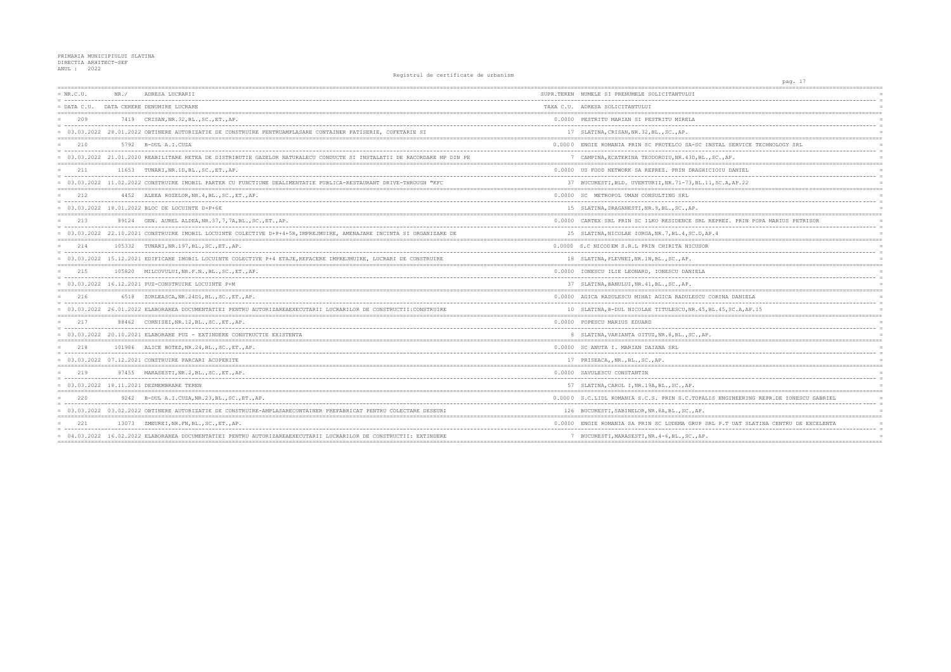| $= NR.C.U.$<br>= ------------------------------------ | NR. / | ADRESA LUCRARII                                                                                                           | SUPR.TEREN NUMELE SI PRENUMELE SOLICITANTULUI         |
|-------------------------------------------------------|-------|---------------------------------------------------------------------------------------------------------------------------|-------------------------------------------------------|
| $=$ DATA C.U.                                         |       | DATA CERERE DENUMIRE LUCRARE                                                                                              | TAXA C.U. ADRESA SOLICITANTULUI                       |
| 209                                                   |       | 7419 CRISAN, NR. 32, BL., SC., ET., AP.                                                                                   | 0.0000 PESTRITU MARIAN SI PESTRITU MIRELA             |
|                                                       |       | = 03.03.2022 28.01.2022 OBTINERE AUTORIZATIE DE CONSTRUIRE PENTRUAMPLASARE CONTAINER PATISERIE, COFETARIE SI              | 17 SLATINA, CRISAN, NR. 32, BL., SC., AP.             |
| 210                                                   |       | 5792 B-DUL A.I.CUZA                                                                                                       | 0.0000 ENGIE ROMANIA PRIN SC PROTELCO SA-SC INST      |
|                                                       |       | = 03.03.2022 21.01.2020 REABILITARE RETEA DE DISTRIBUTIE GAZELOR NATURALECU CONDUCTE SI INSTALATII DE RACORDARE MP DIN PE | 7 CAMPINA, ECATERINA TEODOROIU, NR. 43D, BL., SC      |
| 211                                                   |       | 11653 TUNARI, NR. 1D, BL., SC., ET., AP.                                                                                  | 0.0000 US FOOD NETWORK SA REPREZ. PRIN DRAGHICIO      |
|                                                       |       | = 03.03.2022 11.02.2022 CONSTRUIRE IMOBIL PARTER CU FUNCTIUNE DEALIMENTATIE PUBLICA-RESTAURANT DRIVE-THROUGH "KFC         | 37 BUCURESTI, BLD. UVERTURII, NR. 71-73, BL. 11, S    |
| 212                                                   |       | 4452 ALEEA ROZELOR, NR. 4, BL., SC., ET., AP.                                                                             | 0.0000 SC METROPOL UMAN CONSULTING SRL                |
|                                                       |       | $= 03.03.2022 18.01.2022$ BLOC DE LOCUINTE D+P+6E                                                                         | 15 SLATINA, DRAGANESTI, NR. 9, BL., SC., AP.          |
| 213                                                   |       | 89124 GEN. AUREL ALDEA, NR. 37, 7, 7A, BL., SC., ET., AP.                                                                 | 0.0000 CARTEX SRL PRIN SC ILKO RESIDENCE SRL REP      |
|                                                       |       | = 03.03.2022 22.10.2021 CONSTRUIRE IMOBIL LOCUINTE COLECTIVE D+P+4+5R, IMPREJMUIRE, AMENAJARE INCINTA SI ORGANIZARE DE    | 25 SLATINA, NICOLAE IORGA, NR. 7, BL. 4, SC. D, AP. 4 |
| 214                                                   |       | 105332 TUNARI, NR. 197, BL., SC., ET., AP.                                                                                | 0.0000 S.C NICODEM S.R.L PRIN CHIRITA NICUSOR         |
|                                                       |       | = 03.03.2022 15.12.2021 EDIFICARE IMOBIL LOCUINTE COLECTIVE P+4 ETAJE, REFACERE IMPREJMUIRE, LUCRARI DE CONSTRUIRE        | 18 SLATINA, PLEVNEI, NR. 1N, BL., SC., AP.            |
| 215                                                   |       | 105820 MILCOVULUI, NR.F.N., BL., SC., ET., AP.                                                                            | 0.0000 IONESCU ILIE LEONARD, IONESCU DANIELA          |
|                                                       |       | $= 03.03.2022$ 16.12.2021 PUZ-CONSTRUIRE LOCUINTE P+M                                                                     | 37 SLATINA, BANULUI, NR. 41, BL., SC., AP.            |
| 216                                                   |       | 6518 ZORLEASCA, NR. 24D1, BL., SC., ET., AP.                                                                              | 0.0000 AGICA RADULESCU MIHAI AGICA RADULESCU COR      |
|                                                       |       | 03.03.2022 26.01.2022 ELABORAREA DOCUMENTATIEI PENTRU AUTORIZAREAEXECUTARII LUCRARILOR DE CONSTRUCTII:CONSTRUIRE          | 10 SLATINA, B-DUL NICOLAE TITULESCU, NR. 45, BL.      |
| 217                                                   |       | 88462 CORNISEI, NR.12, BL., SC., ET., AP.                                                                                 | 0.0000 POPESCU MARIUS EDUARD                          |
|                                                       |       | = 03.03.2022 20.10.2021 ELABORARE PUZ - EXTINDERE CONSTRUCTIE EXISTENTA                                                   | 8 SLATINA, VARIANTA OITUZ, NR. 8, BL., SC., AP.       |
| 218                                                   |       | 101986 ALICE BOTEZ, NR.24, BL., SC., ET., AP.                                                                             | 0.0000 SC ANUTA I. MARIAN DAIANA SRL                  |
|                                                       |       | $= 03.03.2022 07.12.2021 \nCOMSTRUIRE PARCHI ACOPERITE$                                                                   | 17 PRISEACA,, NR., BL., SC., AP.                      |
| 219                                                   |       | 97455 MARASESTI, NR. 2, BL., SC., ET., AP.                                                                                | 0.0000 SAVULESCU CONSTANTIN                           |
|                                                       |       | = 03.03.2022 18.11.2021 DEZMEMBRARE TEREN                                                                                 | 57 SLATINA, CAROL I, NR. 19A, BL., SC., AP.           |
| 220                                                   |       | 9242 B-DUL A.I.CUZA, NR. 23, BL., SC., ET., AP.                                                                           | 0.0000 S.C.LIDL ROMANIA S.C.S. PRIN S.C.TOPALIS       |
|                                                       |       | = 03.03.2022 03.02.2022 OBTINERE AUTORIZATIE DE CONSTRUIRE-AMPLASARECONTAINER PREFABRICAT PENTRU COLECTARE DESEURI        | 126 BUCURESTI, SABINELOR, NR. 8A, BL., SC., AP.       |
| 2.2.1                                                 |       | 13073 ZMEUREI, NR. FN, BL., SC., ET., AP.                                                                                 | 0.0000 ENGIE ROMANIA SA PRIN SC LUDEMA GRUP SRL       |
|                                                       |       | = 04.03.2022 16.02.2022 ELABORAREA DOCUMENTATIEI PENTRU AUTORIZAREAEXECUTARII LUCRARILOR DE CONSTRUCTII: EXTINDERE        | 7 BUCURESTI, MARASESTI, NR. 4-6, BL., SC., AP.        |
|                                                       |       |                                                                                                                           |                                                       |

| pag. 17                                         |            |
|-------------------------------------------------|------------|
|                                                 |            |
|                                                 |            |
|                                                 |            |
| =========<br>---------------------------------- |            |
|                                                 |            |
|                                                 | $=$        |
| ===============================                 |            |
| AL SERVICE TECHNOLOGY SRL                       |            |
|                                                 |            |
| $\cdot$ , AP.                                   | $=$        |
| =====================                           |            |
| IU DANIEL<br>---------                          |            |
| C.A, AP.22                                      |            |
|                                                 |            |
|                                                 |            |
|                                                 |            |
|                                                 |            |
| REZ. PRIN POPA MARIUS PETRISOR                  |            |
|                                                 | $=$        |
|                                                 |            |
|                                                 | $=$        |
|                                                 | $=$        |
|                                                 | $=$        |
|                                                 |            |
|                                                 |            |
|                                                 |            |
| ------------------<br>:=======                  | $=$        |
| INA DANIELA                                     |            |
| .                                               | $=$        |
| 45, SC.A, AP.15                                 |            |
| ====================================            |            |
|                                                 |            |
|                                                 | $=$        |
|                                                 |            |
|                                                 | $=$        |
|                                                 | $=$        |
| ======<br>=========                             |            |
|                                                 |            |
|                                                 |            |
|                                                 |            |
| $=$ $=$ $=$ $=$                                 |            |
| ENGINEERING REPR.DE IONESCU GABRIEL             |            |
|                                                 | $=$<br>$=$ |
| $=$<br>:================                        |            |
| P.T UAT SLATINA CENTRU DE EXCELENTA             |            |
|                                                 |            |
|                                                 | $=$        |
| $====$                                          |            |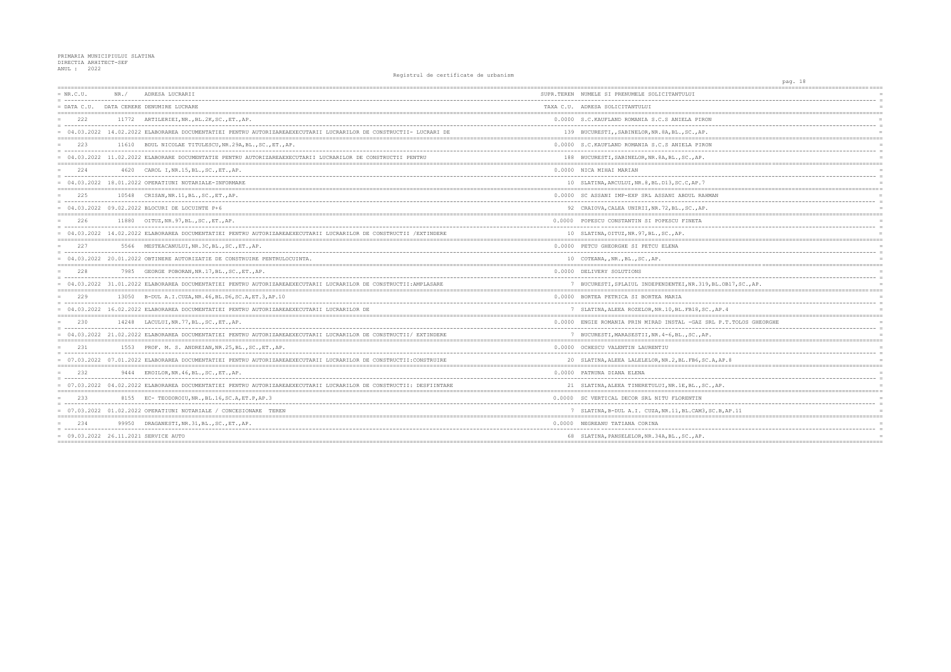| $= NR.C.U.$   | NR. / | ADRESA LUCRARII                                                                                                      | SUPR.TEREN NUMELE SI PRENUMELE SOLICITANTULUI          |
|---------------|-------|----------------------------------------------------------------------------------------------------------------------|--------------------------------------------------------|
| $=$ DATA C.U. |       | DATA CERERE DENUMIRE LUCRARE                                                                                         | TAXA C.U. ADRESA SOLICITANTULUI                        |
| 2.2.2         |       | 11772 ARTILERIEI, NR., BL. 2K, SC., ET., AP.                                                                         | 0.0000 S.C. KAUFLAND ROMANIA S.C.S ANIELA PIRON        |
|               |       | = 04.03.2022 14.02.2022 ELABORAREA DOCUMENTATIEI PENTRU AUTORIZAREAEXECUTARII LUCRARILOR DE CONSTRUCTII- LUCRARI DE  | 139 BUCURESTI,, SABINELOR, NR. 8A, BL., SC., AP.       |
| 223           |       | 11610 BDUL NICOLAE TITULESCU, NR. 29A, BL., SC., ET., AP.                                                            | 0.0000 S.C. KAUFLAND ROMANIA S.C.S ANIELA PIRON        |
|               |       | = 04.03.2022 11.02.2022 ELABORARE DOCUMENTATIE PENTRU AUTORIZAREAEXECUTARII LUCRARILOR DE CONSTRUCTII PENTRU         | 188 BUCURESTI, SABINELOR, NR. 8A, BL., SC., AP.        |
| 224           |       | 4620 CAROL I, NR. 15, BL., SC., ET., AP.                                                                             | 0.0000 NICA MIHAI MARIAN                               |
|               |       | $= 04.03.2022 18.01.2022$ OPERATIUNI NOTARIALE-INFORMARE                                                             | 10 SLATINA, ARCULUI, NR. 8, BL. D13, SC. C, AP. 7      |
| 225           |       | 10548 CRISAN, NR. 11, BL., SC., ET., AP.                                                                             | 0.0000 SC ASSANI IMP-EXP SRL ASSANI ABDUL RAHMAN       |
|               |       | $= 04.03.2022 09.02.2022$ BLOCURI DE LOCUINTE P+6                                                                    | 92 CRAIOVA, CALEA UNIRII, NR. 72, BL., SC., AP.        |
| 226           |       | 11880    QITUZ, NR. 97, BL., SC., ET., AP.                                                                           | 0.0000 POPESCU CONSTANTIN SI POPESCU FINETA            |
|               |       | = 04.03.2022 14.02.2022 ELABORAREA DOCUMENTATIEI PENTRU AUTORIZAREAEXECUTARII LUCRARILOR DE CONSTRUCTII /EXTINDERE   | 10 SLATINA, OITUZ, NR. 97, BL., SC., AP.               |
| 227           |       | 5566 MESTEACANULUI, NR. 3C, BL., SC., ET., AP.                                                                       | 0.0000 PETCU GHEORGHE SI PETCU ELENA                   |
|               |       | = 04.03.2022 20.01.2022 OBTINERE AUTORIZATIE DE CONSTRUIRE PENTRULOCUINTA.                                           | 10 COTEANA, , NR., BL., SC., AP.                       |
| 228           |       | 7985 GEORGE POBORAN, NR.17, BL., SC., ET., AP.                                                                       | 0.0000 DELIVERY SOLUTIONS                              |
|               |       | = 04.03.2022 31.01.2022 ELABORAREA DOCUMENTATIEI PENTRU AUTORIZAREAEXECUTARII LUCRARILOR DE CONSTRUCTII:AMPLASARE    | 7 BUCURESTI, SPLAIUL INDEPENDENTEI, NR. 319, BL. O     |
| 229           |       | 13050 B-DUL A.I.CUZA, NR. 46, BL. D6, SC. A, ET. 3, AP. 10                                                           | 0.0000 BORTEA PETRICA SI BORTEA MARIA                  |
|               |       | = 04.03.2022 16.02.2022 ELABORAREA DOCUMENTATIEI PENTRU AUTORIZAREAEXECUTARII LUCRARILOR DE                          | 7 SLATINA, ALEEA ROZELOR, NR. 10, BL. FB18, SC., AP.   |
| 2.30          |       | 14248 LACULUI, NR.77, BL., SC., ET., AP.                                                                             | 0.0000 ENGIE ROMANIA PRIN MIRAD INSTAL -GAZ SRL P.     |
|               |       | = 04.03.2022 21.02.2022 ELABORAREA DOCUMENTATIEI PENTRU AUTORIZAREAEXECUTARII LUCRARILOR DE CONSTRUCTII/ EXTINDERE   | 7 BUCURESTI, MARASESTII, NR. 4-6, BL., SC., AP.        |
| 2.31          |       | 1553 PROF. M. S. ANDREIAN, NR. 25, BL., SC., ET., AP.                                                                | 0.0000 OCHESCU VALENTIN LAURENTIU                      |
|               |       | = 07.03.2022 07.01.2022 ELABORAREA DOCUMENTATIEI PENTRU AUTORIZAREAEXECUTARII LUCRARILOR DE CONSTRUCTII:CONSTRUIRE   | 20 SLATINA, ALEEA LALELELOR, NR. 2, BL. FB6, SC. A, AP |
| 232           |       | 9444 EROILOR, NR. 46, BL., SC., ET., AP.                                                                             | 0.0000 PATRUNA DIANA ELENA                             |
|               |       | = 07.03.2022 04.02.2022 ELABORAREA DOCUMENTATIEI PENTRU AUTORIZAREAEXECUTARII LUCRARILOR DE CONSTRUCTII: DESFIINTARE | 21 SLATINA, ALEEA TINERETULUI, NR. 1E, BL., SC., AP.   |
| 233           |       | 8155 EC-TEODOROIU, NR., BL.16, SC.A, ET.P, AP.3                                                                      | 0.0000 SC VERTICAL DECOR SRL NITU FLORENTIN            |
|               |       | = 07.03.2022 01.02.2022 OPERATIUNI NOTARIALE / CONCESIONARE TEREN                                                    | 7 SLATINA, B-DUL A.I. CUZA, NR.11, BL.CAM3, SC.B, i    |
| 234           |       | 99950 DRAGANESTI, NR.31, BL., SC., ET., AP.                                                                          | 0.0000 NEGREANU TATIANA CORINA                         |
|               |       | = 09.03.2022 26.11.2021 SERVICE AUTO                                                                                 | 68 SLATINA, PANSELELOR, NR. 34A, BL., SC., AP.         |
|               |       |                                                                                                                      |                                                        |

|                                                           | pag. 18 |                           |  |
|-----------------------------------------------------------|---------|---------------------------|--|
|                                                           | ======= | $=$                       |  |
|                                                           |         | $=$                       |  |
| $:= = =$                                                  |         | $=$                       |  |
| ON.                                                       |         | $=$                       |  |
| Ĵ.                                                        |         | $=$<br>$=$                |  |
| ۰.<br>$=$ = = = =                                         |         | $=$                       |  |
| :ON                                                       |         | $=$                       |  |
|                                                           |         | $=$<br>$=$                |  |
|                                                           |         | ============              |  |
|                                                           |         | $=$<br>$=$                |  |
|                                                           |         | $=$                       |  |
| ------------------------                                  |         |                           |  |
| HMAN<br>$- -$                                             |         | $=$<br>$=$                |  |
|                                                           |         | $=$                       |  |
| ------------------------------------                      |         | -----------<br>$=$<br>$=$ |  |
|                                                           |         | $=$                       |  |
|                                                           |         | $=$<br>==========         |  |
|                                                           |         | $=$                       |  |
|                                                           |         | $=$                       |  |
|                                                           |         | $=$<br>$=$                |  |
|                                                           |         | $=$                       |  |
| . <u>.</u><br>9, BL.OB17, SC., AP.                        |         | $=$<br>$=$                |  |
| ------------<br>$=====$                                   |         | ------<br>$=$ $=$         |  |
| . _ _ _ _ _ _ _ _                                         |         | $=$<br>$=$                |  |
| C., AP.4                                                  |         | $=$                       |  |
|                                                           |         | ==========                |  |
| SRL P.T.TOLOS GHEORGHE                                    |         | $=$<br>$=$                |  |
| ιΡ.                                                       |         | $=$                       |  |
| --------------------------------                          |         | ------------<br>$=$       |  |
| $\overline{\phantom{a}}$                                  |         | $=$                       |  |
| C.A, AP.8<br>=============                                |         | $=$<br>$=$                |  |
|                                                           |         | $=$                       |  |
| ----------                                                |         | $=$                       |  |
| $C.$ , AP.<br>$=====$<br>================================ |         | $=$<br>$=$                |  |
|                                                           |         | $=$                       |  |
| , SC.B, AP.11                                             |         | $=$<br>$=$                |  |
| .=======================                                  |         | ============              |  |
|                                                           |         | $=$<br>$=$                |  |
|                                                           |         | $=$                       |  |
|                                                           |         |                           |  |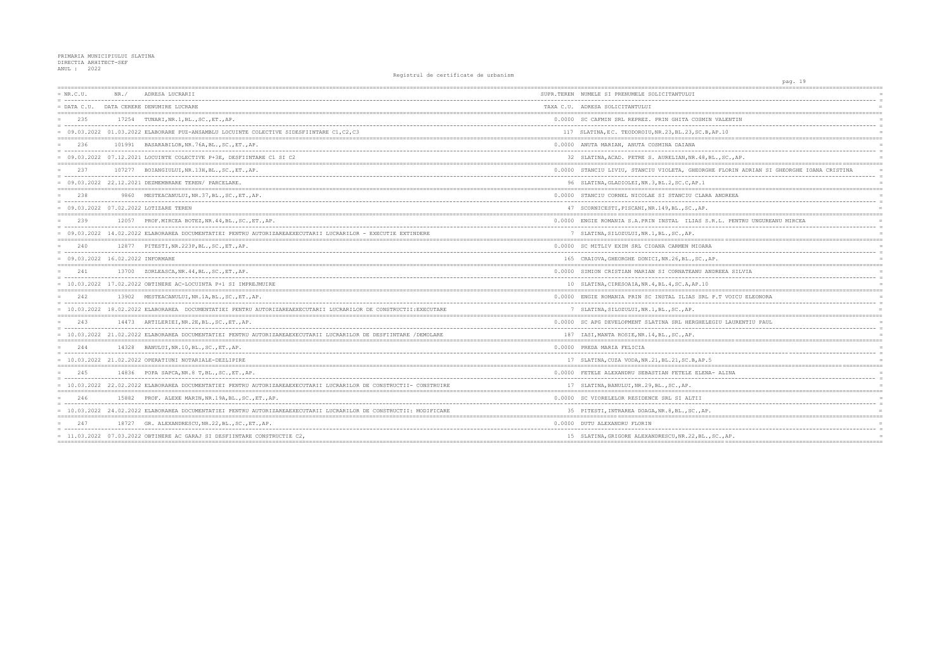| $= NR.C.U.$<br>= ------------------------------------ | NR. / | ADRESA LUCRARII                                                                                                     | SUPR.TEREN NUMELE SI PRENUMELE SOLICITANTULUI            |
|-------------------------------------------------------|-------|---------------------------------------------------------------------------------------------------------------------|----------------------------------------------------------|
| $=$ DATA C.U.                                         |       | DATA CERERE DENUMIRE LUCRARE                                                                                        | TAXA C.U. ADRESA SOLICITANTULUI                          |
| 235                                                   |       | 17254 TUNARI, NR. 1, BL., SC., ET., AP.                                                                             | 0.0000 SC CAFMIN SRL REPREZ. PRIN GHITA COSMIN VAI       |
|                                                       |       | = 09.03.2022 01.03.2022 ELABORARE PUZ-ANSAMBLU LOCUINTE COLECTIVE SIDESFIINTARE C1, C2, C3                          | 117 SLATINA, EC. TEODOROIU, NR. 23, BL. 23, SC. B, AP. 1 |
| 236                                                   |       | 101991 BASARABILOR, NR. 76A, BL., SC., ET., AP.                                                                     | 0.0000 ANUTA MARIAN, ANUTA COSMINA DAIANA                |
|                                                       |       | $= 09.03.2022 07.12.2021$ LOCUINTE COLECTIVE P+3E, DESFIINTARE C1 SI C2                                             | 32 SLATINA, ACAD. PETRE S. AURELIAN, NR. 48, BL., S      |
| 237                                                   |       | 107277 BOIANGIULUI, NR.13H, BL., SC., ET., AP.                                                                      | 0.0000 STANCIU LIVIU, STANCIU VIOLETA, GHEORGHE FI       |
|                                                       |       | $= 09.03.2022 22.12.2021 DEZMEMBRARE TEREN/ PARCELARE.$                                                             | 96 SLATINA, GLADIOLEI, NR.3, BL.2, SC.C, AP.1            |
| 238                                                   |       | 9860 MESTEACANULUI, NR.37, BL., SC., ET., AP.                                                                       | 0.0000 STANCIU CORNEL NICOLAE SI STANCIU CLARA AND       |
|                                                       |       | = 09.03.2022 07.02.2022 LOTIZARE TEREN                                                                              | 47 SCORNICESTI, PISCANI, NR. 149, BL., SC., AP.          |
| 239                                                   |       | 12057 PROF. MIRCEA BOTEZ, NR. 44, BL., SC., ET., AP.                                                                | 0.0000 ENGIE ROMANIA S.A.PRIN INSTAL ILIAS S.R.L.        |
|                                                       |       | = 09.03.2022 14.02.2022 ELABORAREA DOCUMENTATIEI PENTRU AUTORIZAREAEXECUTARII LUCRARILOR - EXECUTIE EXTINDERE       | 7 SLATINA, SILOZULUI, NR.1, BL., SC., AP.                |
| 240                                                   |       | 12877 PITESTI, NR. 223P, BL., SC., ET., AP.                                                                         | 0.0000 SC MITLIV EXIM SRL CIOANA CARMEN MIOARA           |
| $= 09.03.2022 16.02.2022$ INFORMARE                   |       |                                                                                                                     | 165 CRAIOVA, GHEORGHE DONICI, NR.26, BL., SC., AP.       |
| 241                                                   |       | 13700 ZORLEASCA, NR. 44, BL., SC., ET., AP.                                                                         | 0.0000 SIMION CRISTIAN MARIAN SI CORNATEANU ANDREE       |
|                                                       |       | $= 10.03.2022$ 17.02.2022 OBTINERE AC-LOCUINTA P+1 SI IMPREJMUIRE                                                   | 10 SLATINA, CIRESOAIA, NR. 4, BL. 4, SC. A, AP. 10       |
| 242                                                   |       | 13902 MESTEACANULUI, NR.1A, BL., SC., ET., AP.                                                                      | 0.0000 ENGIE ROMANIA PRIN SC INSTAL ILIAS SRL P.T        |
|                                                       |       | = 10.03.2022 18.02.2022 ELABORAREA DOCUMENTATIEI PENTRU AUTORIZAREAEXECUTARII LUCRARILOR DE CONSTRUCTII:EXECUTARE   | 7 SLATINA, SILOZULUI, NR.1, BL., SC., AP.                |
| 243                                                   |       | 14473 ARTILERIEI, NR. 2E, BL., SC., ET., AP.                                                                        | 0.0000 SC APG DEVELOPMENT SLATINA SRL HERGHELEGIU        |
|                                                       |       | = 10.03.2022 21.02.2022 ELABORAREA DOCUMENTATIEI PENTRU AUTORIZAREAEXECUTARII LUCRARILOR DE DESFIINTARE /DEMOLARE   | 187 IASI, MANTA ROSIE, NR. 14, BL., SC., AP.             |
| 2.44                                                  |       | 14328 BANULUI, NR.10, BL., SC., ET., AP.                                                                            | 0.0000 PREDA MARIA FELICIA                               |
|                                                       |       | $= 10.03.2022 21.02.2022$ OPERATIUNI NOTARIALE-DEZLIPIRE                                                            | 17 SLATINA, CUZA VODA, NR. 21, BL. 21, SC. B, AP. 5      |
| 245                                                   |       | 14836 POPA SAPCA, NR.8 T, BL., SC., ET., AP.                                                                        | 0.0000 FETELE ALEXANDRU SEBASTIAN FETELE ELENA- AI       |
|                                                       |       | 10.03.2022 22.02.2022 ELABORAREA DOCUMENTATIEI PENTRU AUTORIZAREAEXECUTARII LUCRARILOR DE CONSTRUCTII- CONSTRUIRE   | 17 SLATINA, BANULUI, NR. 29, BL., SC., AP.               |
| 246                                                   |       | 15882 PROF. ALEXE MARIN, NR. 19A, BL., SC., ET., AP.                                                                | 0.0000 SC VIORELELOR RESIDENCE SRL SI ALTII              |
|                                                       |       | = 10.03.2022 24.02.2022 ELABORAREA DOCUMENTATIEI PENTRU AUTORIZAREAEXECUTARII LUCRARILOR DE CONSTRUCTII: MODIFICARE | 35 PITESTI, INTRAREA DOAGA, NR. 8, BL., SC., AP.         |
| 247                                                   |       | 18727 GR. ALEXANDRESCU, NR. 22, BL., SC., ET., AP.                                                                  | 0.0000 DUTU ALEXANDRU FLORIN                             |
|                                                       |       | $= 11.03.2022 07.03.2022$ OBTINERE AC GARAJ SI DESFIINTARE CONSTRUCTIE C2,                                          | 15 SLATINA, GRIGORE ALEXANDRESCU, NR. 22, BL., SC.,      |
|                                                       |       |                                                                                                                     |                                                          |

| pag. 19                                            |             |
|----------------------------------------------------|-------------|
|                                                    |             |
|                                                    |             |
| _____________________<br>=====                     |             |
| IIN VALENTIN                                       | $=$         |
| ----------                                         | $\equiv$    |
| B, AP. 10                                          | $=$         |
|                                                    |             |
| , BL., SC., AP.                                    | $=$<br>$=$  |
| $=$<br>:===============<br>:====================== | $=$         |
| GHE FLORIN ADRIAN SI GHEORGHE IOANA CRISTINA       | $=$<br>$=$  |
|                                                    |             |
|                                                    | $=$         |
| RA ANDREEA                                         | $\equiv$    |
| ٠.                                                 | $=$         |
| S.R.L. PENTRU UNGUREANU MIRCEA                     |             |
|                                                    | $=$         |
| ====== ========<br>==========                      | $=$         |
| ιRΑ                                                |             |
| $\overline{a}$<br>, AP.                            | $=$         |
|                                                    |             |
| ANDREEA SILVIA                                     | $=$         |
| $\overline{0}$                                     | $\equiv$    |
|                                                    |             |
| L P.T VOICU ELEONORA                               |             |
|                                                    |             |
|                                                    | $=$         |
| $== == =$                                          |             |
| LEGIU LAURENTIU PAUL                               | $=$         |
|                                                    | $=$         |
|                                                    | $=$ $=$ $=$ |
|                                                    | $=$         |
| .5                                                 |             |
| NA- ALINA                                          | $=$         |
|                                                    | $=$<br>$=$  |
| :=====                                             |             |
|                                                    | $=$         |
| .<br>Ρ.                                            | $=$<br>$=$  |
| ======<br>:===========                             |             |
|                                                    | $=$         |
| , SC., AP.<br>$=$ $=$ $=$                          | $=$         |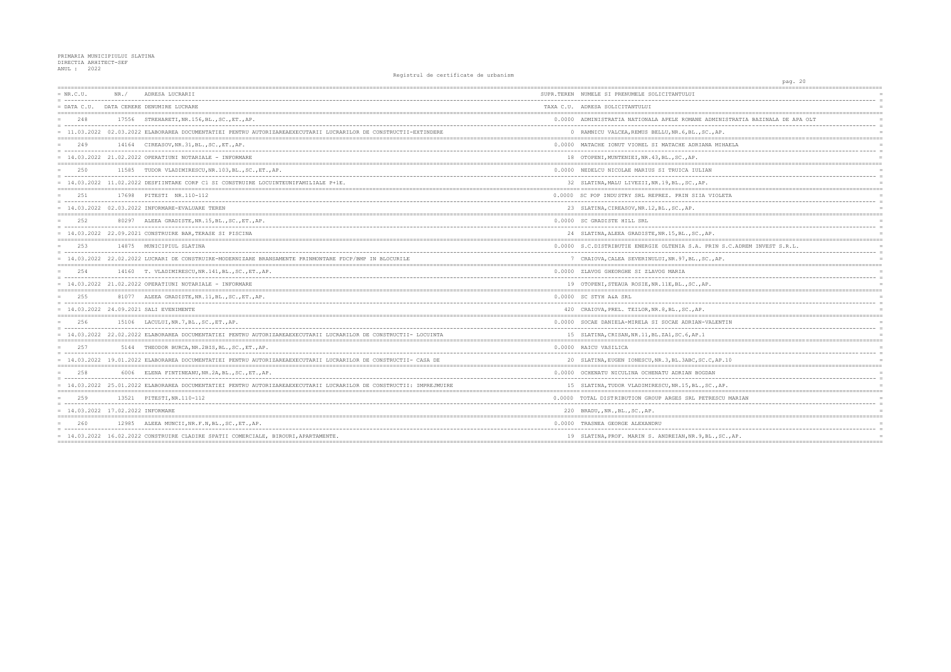| $= NR.C.U.$                         | NR. / | ADRESA LUCRARII                                                                                                      | SUPR.TEREN NUMELE SI PRENUMELE SOLICITANTULUI        |
|-------------------------------------|-------|----------------------------------------------------------------------------------------------------------------------|------------------------------------------------------|
| $=$ DATA C.U.                       |       | DATA CERERE DENUMIRE LUCRARE                                                                                         | TAXA C.U. ADRESA SOLICITANTULUI                      |
| 248                                 |       | 17556 STREHARETI, NR. 156, BL., SC., ET., AP.                                                                        | 0.0000 ADMINISTRATIA NATIONALA APELE ROMANE ADMI     |
|                                     |       | = 11.03.2022 02.03.2022 ELABORAREA DOCUMENTATIEI PENTRU AUTORIZAREAEXECUTARII LUCRARILOR DE CONSTRUCTII-EXTINDERE    | 0 RAMNICU VALCEA, REMUS BELLU, NR. 6, BL., SC., A    |
| 249                                 |       | 14164 CIREASOV, NR. 31, BL., SC., ET., AP.                                                                           | 0.0000 MATACHE IONUT VIOREL SI MATACHE ADRIANA M     |
|                                     |       | $= 14.03.2022 21.02.2022$ OPERATIUNI NOTARIALE - INFORMARE                                                           | 18 OTOPENI, MUNTENIEI, NR. 43, BL., SC., AP.         |
| 2.50                                |       | 11585 TUDOR VLADIMIRESCU, NR. 103, BL., SC., ET., AP.                                                                | 0.0000 NEDELCU NICOLAE MARIUS SI TRUICA IULIAN       |
|                                     |       | 14.03.2022 11.02.2022 DESFIINTARE CORP C1 SI CONSTRUIRE LOCUINTEUNIFAMILIALE P+1E.                                   | 32 SLATINA, MALU LIVEZII, NR. 19, BL., SC., AP.      |
| 251                                 |       | 17698 PITESTI NR.110-112                                                                                             | 0.0000 SC POP INDUSTRY SRL REPREZ, PRIN SIIA VIO     |
|                                     |       | = 14.03.2022 02.03.2022 INFORMARE-EVALUARE TEREN                                                                     | 23 SLATINA, CIREASOV, NR. 12, BL., SC., AP.          |
| 252                                 |       | 80297 ALEEA GRADISTE, NR. 15, BL., SC., ET., AP.                                                                     | 0.0000 SC GRADISTE HILL SRL                          |
|                                     |       | = 14.03.2022 22.09.2021 CONSTRUIRE BAR, TERASE SI PISCINA                                                            | 24 SLATINA, ALEEA GRADISTE, NR. 15, BL., SC., AP.    |
| 253                                 |       | 14875 MUNICIPIUL SLATINA                                                                                             | 0.0000 S.C.DISTRIBUTIE ENERGIE OLTENIA S.A. PRIN     |
|                                     |       | = 14.03.2022 22.02.2022 LUCRARI DE CONSTRUIRE-MODERNIZARE BRANSAMENTE PRINMONTARE FDCP/BMP IN BLOCURILE              | 7 CRAIOVA, CALEA SEVERINULUI, NR. 97, BL., SC., A    |
| 2.54                                |       | 14160 T. VLADIMIRESCU, NR. 141, BL., SC., ET., AP.                                                                   | 0.0000 ZLAVOG GHEORGHE SI ZLAVOG MARIA               |
|                                     |       | 14.03.2022 21.02.2022 OPERATIUNI NOTARIALE - INFORMARE                                                               | 19 OTOPENI, STEAUA ROSIE, NR. 11E, BL., SC., AP.     |
| 2.5.5                               |       | 81077 ALEEA GRADISTE, NR. 11, BL., SC., ET., AP.                                                                     | 0.0000 SC STYH A&A SRL                               |
|                                     |       | = 14.03.2022 24.09.2021 SALI EVENIMENTE                                                                              | 420 CRAIOVA, PREL. TEILOR, NR. 8, BL., SC., AP.      |
| 256                                 |       | 15106 LACULUI, NR. 7, BL., SC., ET., AP.                                                                             | 0.0000 SOCAE DANIELA-MIRELA SI SOCAE ADRIAN-VALE     |
|                                     |       | = 14.03.2022 22.02.2022 ELABORAREA DOCUMENTATIEI PENTRU AUTORIZAREAEXECUTARII LUCRARILOR DE CONSTRUCTII- LOCUINTA    | 15 SLATINA, CRISAN, NR. 11, BL. ZA1, SC. 6, AP. 1    |
| 2.57                                |       | 5144 THEODOR BURCA, NR. 2BIS, BL., SC., ET., AP.                                                                     | 0.0000 RAICU VASILICA                                |
|                                     |       | = 14.03.2022 19.01.2022 ELABORAREA DOCUMENTATIEI PENTRU AUTORIZAREAEXECUTARII LUCRARILOR DE CONSTRUCTII- CASA DE     | 20 SLATINA, EUGEN IONESCU, NR. 3, BL. 3ABC, SC. C, A |
| 258                                 |       | 6006 ELENA FINTINEANU, NR. 2A, BL., SC., ET., AP.                                                                    | 0.0000 OCHENATU NICULINA OCHENATU ADRIAN BOGDAN      |
|                                     |       | = 14.03.2022 25.01.2022 ELABORAREA DOCUMENTATIEI PENTRU AUTORIZAREAEXECUTARII LUCRARILOR DE CONSTRUCTII: IMPREJMUIRE | 15 SLATINA, TUDOR VLADIMIRESCU, NR. 15, BL., SC.,    |
| 259                                 |       | 13521 PITESTI, NR. 110-112                                                                                           | 0.0000 TOTAL DISTRIBUTION GROUP ARGES SRL PETRES     |
| $= 14.03.2022 17.02.2022$ INFORMARE |       |                                                                                                                      | 220 BRADU, NR., BL., SC., AP.                        |
| 260                                 |       | 12985 ALEEA MUNCII, NR.F.N, BL., SC., ET., AP.                                                                       | 0.0000 TRASNEA GEORGE ALEXANDRU                      |
|                                     |       | = 14.03.2022 16.02.2022 CONSTRUIRE CLADIRE SPATII COMERCIALE, BIROURI, APARTAMENTE.                                  | 19 SLATINA, PROF. MARIN S. ANDREIAN, NR. 9, BL.,     |
|                                     |       |                                                                                                                      |                                                      |

| pag. 20                                  |                      |
|------------------------------------------|----------------------|
| ======================<br>=========      |                      |
|                                          | $\overline{a}$       |
|                                          | $\equiv$             |
|                                          |                      |
| NISTRATIA BAZINALA DE APA OLT            | $\equiv$             |
| Ρ.                                       | $\equiv$<br>$\equiv$ |
|                                          | $=$                  |
| IHAELA                                   |                      |
|                                          | $\overline{a}$       |
|                                          |                      |
|                                          |                      |
|                                          | $=$                  |
|                                          | $\equiv$             |
| ,____________________________________    |                      |
| LETA                                     | $\equiv$             |
|                                          | $\equiv$             |
|                                          |                      |
|                                          | $=$                  |
|                                          | $\overline{a}$       |
|                                          | $\equiv$             |
|                                          | ÷                    |
| S.C.ADREM INVEST S.R.L.                  | $\equiv$             |
|                                          | $\equiv$             |
| Ρ.                                       | $\equiv$             |
|                                          | $=$                  |
|                                          | $\overline{a}$       |
|                                          | $\overline{a}$       |
| =======<br>----------------------------- |                      |
|                                          | $\equiv$             |
|                                          | $\overline{a}$       |
| ==========                               | $\equiv$             |
| NTIN                                     | $\equiv$             |
|                                          | $\equiv$             |
|                                          | $\overline{a}$       |
|                                          | $=$                  |
|                                          | $\equiv$             |
| ----                                     | $\overline{a}$       |
| P.10                                     | $=$                  |
|                                          | $\overline{a}$       |
|                                          | $\overline{a}$       |
| AΡ.                                      |                      |
| --------------------------------------   | $=$                  |
| CU MARIAN                                |                      |
|                                          |                      |
|                                          | $\equiv$             |
|                                          |                      |
|                                          |                      |
|                                          | $\equiv$             |
| SC., AP.                                 | $\equiv$             |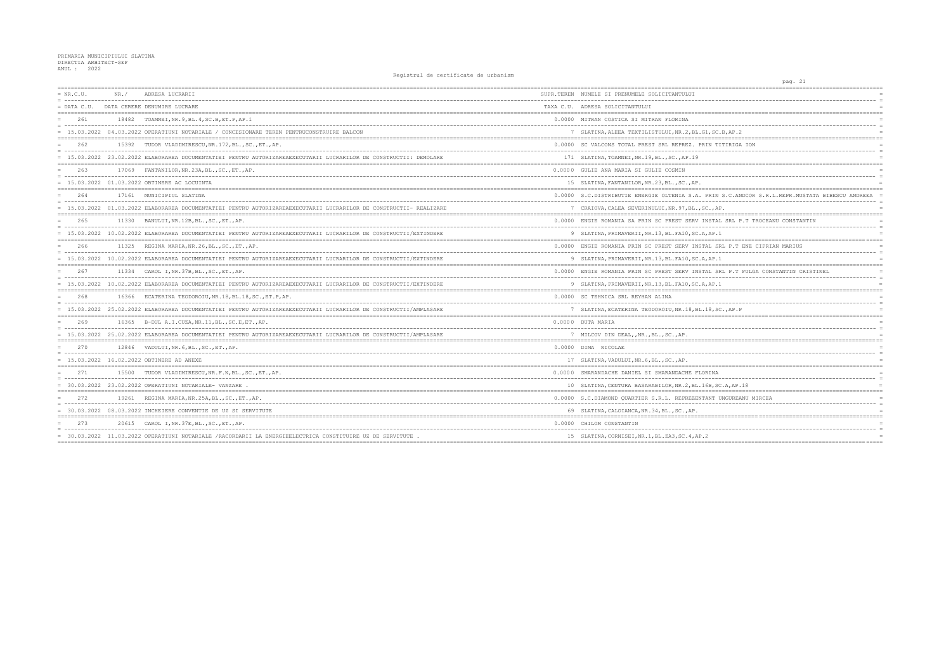| $= NR.C.U.$   | NR. / | ADRESA LUCRARII                                                                                                    | SUPR.TEREN NUMELE SI PRENUMELE SOLICITANTULUI       |
|---------------|-------|--------------------------------------------------------------------------------------------------------------------|-----------------------------------------------------|
| $=$ DATA C.U. |       | DATA CERERE DENUMIRE LUCRARE                                                                                       | TAXA C.U. ADRESA SOLICITANTULUI                     |
| 2.61          |       | 18482 TOAMNEI, NR. 9, BL. 4, SC. B, ET. P, AP. 1                                                                   | 0.0000 MITRAN COSTICA SI MITRAN FLORINA             |
|               |       | = 15.03.2022 04.03.2022 OPERATIUNI NOTARIALE / CONCESIONARE TEREN PENTRUCONSTRUIRE BALCON                          | 7 SLATINA, ALEEA TEXTILISTULUI, NR. 2, BL. G1, SC   |
| 2.62          |       | 15392 TUDOR VLADIMIRESCU. NR. 172. BL SC ET AP.                                                                    | 0.0000 SC VALCONS TOTAL PREST SRL REPREZ. PRIN T    |
|               |       | = 15.03.2022 23.02.2022 ELABORAREA DOCUMENTATIEI PENTRU AUTORIZAREAEXECUTARII LUCRARILOR DE CONSTRUCTII: DEMOLARE  | 171 SLATINA, TOAMNEI, NR. 19, BL., SC., AP. 19      |
| 263           |       | 17069 FANTANILOR, NR. 23A, BL., SC., ET., AP.                                                                      | 0.0000 GULIE ANA MARIA SI GULIE COSMIN              |
|               |       | $= 15.03.2022 01.03.2022$ OBTINERE AC LOCUINTA                                                                     | 15 SLATINA, FANTANILOR, NR. 23, BL., SC., AP.       |
| 264           |       | 17161 MUNICIPIUL SLATINA                                                                                           | 0.0000 S.C. DISTRIBUTIE ENERGIE OLTENIA S.A. PRIN   |
|               |       | = 15.03.2022 01.03.2022 ELABORAREA DOCUMENTATIEI PENTRU AUTORIZAREAEXECUTARII LUCRARILOR DE CONSTRUCTII- REALIZARE | 7 CRAIOVA, CALEA SEVERINULUI, NR. 97, BL., SC., A   |
| 265           |       | 11330 BANULUI, NR. 12B, BL., SC., ET., AP.                                                                         | 0.0000 ENGIE ROMANIA SA PRIN SC PREST SERV INSTA    |
|               |       | = 15.03.2022 10.02.2022 ELABORAREA DOCUMENTATIEI PENTRU AUTORIZAREAEXECUTARII LUCRARILOR DE CONSTRUCTII/EXTINDERE  | 9 SLATINA, PRIMAVERII, NR. 13, BL. FA10, SC. A, AP. |
| 266           |       | 11325 REGINA MARIA, NR. 26, BL., SC., ET., AP.                                                                     | 0.0000 ENGIE ROMANIA PRIN SC PREST SERV INSTAL S    |
|               |       | 15.03.2022 10.02.2022 ELABORAREA DOCUMENTATIEI PENTRU AUTORIZAREAEXECUTARII LUCRARILOR DE CONSTRUCTII/EXTINDERE    | 9 SLATINA, PRIMAVERII, NR. 13, BL. FA10, SC. A, AP. |
| 267           |       | 11334 CAROL I, NR. 37B, BL., SC., ET., AP.                                                                         | 0.0000 ENGIE ROMANIA PRIN SC PREST SERV INSTAL S    |
|               |       | = 15.03.2022 10.02.2022 ELABORAREA DOCUMENTATIEI PENTRU AUTORIZAREAEXECUTARII LUCRARILOR DE CONSTRUCTII/EXTINDERE  | 9 SLATINA, PRIMAVERII, NR. 13, BL. FA10, SC. A, AP. |
| 268           |       | 16366 ECATERINA TEODOROIU, NR.18, BL.18, SC., ET.P, AP.                                                            | 0.0000 SC TEHNICA SRL REYHAN ALINA                  |
|               |       | = 15.03.2022 25.02.2022 ELABORAREA DOCUMENTATIEI PENTRU AUTORIZAREAEXECUTARII LUCRARILOR DE CONSTRUCTII/AMPLASARE  | 7 SLATINA, ECATERINA TEODOROIU, NR. 18, BL. 18, S   |
| 269           |       | 16365 B-DUL A.I.CUZA, NR. 11, BL., SC.E, ET., AP.                                                                  | 0.0000 DUTA MARIA                                   |
|               |       | = 15.03.2022 25.02.2022 ELABORAREA DOCUMENTATIEI PENTRU AUTORIZAREAEXECUTARII LUCRARILOR DE CONSTRUCTII/AMPLASARE  | 7 MILCOV DIN DEAL, , NR., BL., SC., AP.             |
| 270           |       | 12846 VADULUI, NR. 6, BL., SC., ET., AP.                                                                           | 0.0000 DIMA NICOLAE                                 |
|               |       | = 15.03.2022 16.02.2022 OBTINERE AD ANEXE                                                                          | 17 SLATINA, VADULUI, NR. 6, BL., SC., AP.           |
| 2.71          |       | 15500 TUDOR VLADIMIRESCU, NR.F.N, BL., SC., ET., AP.                                                               | 0.0000 SMARANDACHE DANIEL SI SMARANDACHE FLORINA    |
|               |       | = 30.03.2022 23.02.2022 OPERATIUNI NOTARIALE- VANZARE.                                                             | 10 SLATINA, CENTURA BASARABILOR, NR. 2, BL. 16B, S  |
| 2.72          |       | 19261 REGINA MARIA, NR. 25A, BL., SC., ET., AP.                                                                    | 0.0000 S.C.DIAMOND OUARTIER S.R.L. REPREZENTANT     |
|               |       | = 30.03.2022 08.03.2022 INCHEIERE CONVENTIE DE UZ SI SERVITUTE                                                     | 69 SLATINA, CALOIANCA, NR.34, BL., SC., AP.         |
|               |       | 20615 CAROL I, NR. 37E, BL., SC., ET., AP.                                                                         | 0.0000 CHILOM CONSTANTIN                            |
|               |       | = 30.03.2022 11.03.2022 OPERATIUNI NOTARIALE /RACORDARII LA ENERGIEELECTRICA CONSTITUIRE UZ DE SERVITUTE .         | 15 SLATINA, CORNISEI, NR. 1, BL. ZA3, SC. 4, AP. 2  |

| pag. 21<br>----------                              |                            |
|----------------------------------------------------|----------------------------|
|                                                    |                            |
|                                                    | $\equiv$                   |
| =============================<br>========          |                            |
| ------                                             | $\equiv$<br>$\equiv$       |
| .B, AP.2<br>-------------------------------------- |                            |
| ITIRIGA ION                                        |                            |
|                                                    | $\equiv$<br>$\equiv$       |
| =========                                          | $=$                        |
|                                                    | $\equiv$                   |
|                                                    |                            |
| S.C. ANDCOR S.R.L. REPR. MUSTATA BIBESCU ANDREEA   | $\overline{a}$<br>$\equiv$ |
| P.                                                 |                            |
| L SRL P.T TROCEANU CONSTANTIN                      |                            |
| $- -$<br>1                                         | $\equiv$                   |
|                                                    |                            |
| RL P.T ENE CIPRIAN MARIUS                          | $\equiv$                   |
| 1                                                  | $=$                        |
|                                                    |                            |
| RL P.T FULGA CONSTANTIN CRISTINEL                  |                            |
| 1                                                  | $\equiv$                   |
|                                                    |                            |
|                                                    | $\equiv$                   |
| C., AP.P                                           |                            |
|                                                    |                            |
|                                                    | $\overline{a}$             |
|                                                    |                            |
|                                                    |                            |
|                                                    |                            |
|                                                    | $= == =$                   |
|                                                    | $\equiv$                   |
| C.A, AP.18<br>$:= == =$                            |                            |
| UNGUREANU MIRCEA                                   |                            |
|                                                    | $\equiv$<br>$\equiv$       |
|                                                    |                            |
|                                                    |                            |
|                                                    | $\equiv$                   |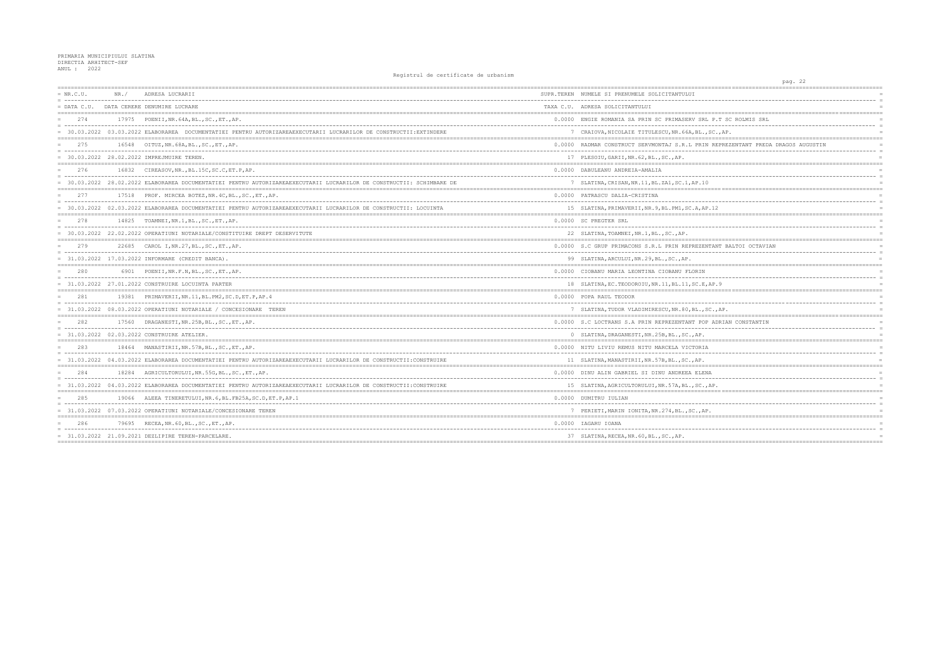| $= NR.C.U.$   | NR. / | ADRESA LUCRARII                                                                                                       | SUPR.TEREN NUMELE SI PRENUMELE SOLICITANTULUI         |
|---------------|-------|-----------------------------------------------------------------------------------------------------------------------|-------------------------------------------------------|
| $=$ DATA C.U. |       | DATA CERERE DENUMIRE LUCRARE                                                                                          | TAXA C.U. ADRESA SOLICITANTULUI                       |
| 274           |       | 17975 POENII, NR. 64A, BL., SC., ET., AP.                                                                             | 0.0000 ENGIE ROMANIA SA PRIN SC PRIMASERV SRL P.      |
|               |       | = 30.03.2022 03.03.2022 ELABORAREA DOCUMENTATIEI PENTRU AUTORIZAREAEXECUTARII LUCRARILOR DE CONSTRUCTII:EXTINDERE     | 7 CRAIOVA, NICOLAIE TITULESCU, NR. 66A, BL., SC.      |
| 275           |       | 16548 OITUZ, NR. 68A, BL., SC., ET., AP.                                                                              | 0.0000 RADMAR CONSTRUCT SERVMONTAJ S.R.L PRIN RE      |
|               |       | = 30.03.2022 28.02.2022 IMPREJMUIRE TEREN.                                                                            | 17 PLESOIU, GARII, NR. 62, BL., SC., AP.              |
| 276           |       | 16832 CIREASOV, NR., BL. 15C, SC.C, ET.P, AP.                                                                         | 0.0000 DABULEANU ANDREIA-AMALIA                       |
|               |       | = 30.03.2022 28.02.2022 ELABORAREA DOCUMENTATIEI PENTRU AUTORIZAREAEXECUTARII LUCRARILOR DE CONSTRUCTII: SCHIMBARE DE | 7 SLATINA, CRISAN, NR. 11, BL. ZA1, SC. 1, AP. 10     |
| 277           |       | 17518 PROF. MIRCEA BOTEZ, NR. 4C, BL., SC., ET., AP.                                                                  | 0.0000 PATRASCU DALIA-CRISTINA                        |
|               |       | 30.03.2022 02.03.2022 ELABORAREA DOCUMENTATIEI PENTRU AUTORIZAREAEXECUTARII LUCRARILOR DE CONSTRUCTII: LOCUINTA       | 15 SLATINA, PRIMAVERII, NR. 9, BL. PM1, SC. A, AP. 12 |
| 278<br>$=$    |       | 14825 TOAMNEI, NR.1, BL., SC., ET., AP.                                                                               | 0.0000 SC PREGTER SRL                                 |
|               |       | 30.03.2022 22.02.2022 OPERATIUNI NOTARIALE/CONSTITUIRE DREPT DESERVITUTE                                              | 22 SLATINA, TOAMNEI, NR.1, BL., SC., AP.              |
| 279           |       | 22685 CAROL I, NR. 27, BL., SC., ET., AP.                                                                             | 0.0000 S.C GRUP PRIMACONS S.R.L PRIN REPREZENTAN      |
|               |       | = 31.03.2022 17.03.2022 INFORMARE (CREDIT BANCA).                                                                     | 99 SLATINA, ARCULUI, NR. 29, BL., SC., AP.            |
| 280           |       | 6901 POENII, NR.F.N, BL., SC., ET., AP.                                                                               | 0.0000 CIOBANU MARIA LEONTINA CIOBANU FLORIN          |
|               |       | = 31.03.2022 27.01.2022 CONSTRUIRE LOCUINTA PARTER                                                                    | 18 SLATINA, EC. TEODOROIU, NR. 11, BL. 11, SC. E, AP. |
| 281           |       | 19381 PRIMAVERII, NR. 11, BL. PM2, SC. D, ET. P, AP. 4                                                                | 0.0000 POPA RAUL TEODOR                               |
|               |       | 31.03.2022 08.03.2022 OPERATIUNI NOTARIALE / CONCESIONARE TEREN                                                       | 7 SLATINA, TUDOR VLADIMIRESCU, NR.80, BL., SC.,       |
| 282           |       | 17560 DRAGANESTI, NR. 25B, BL., SC., ET., AP.                                                                         | 0.0000 S.C LOCTRANS S.A PRIN REPREZENTANT POP AD      |
|               |       | = 31.03.2022 02.03.2022 CONSTRUIRE ATELIER.                                                                           | 0 SLATINA, DRAGANESTI, NR. 25B, BL., SC., AP.         |
| 283           |       | 18464 MANASTIRII, NR. 57B, BL., SC., ET., AP.                                                                         | 0.0000 NITU LIVIU REMUS NITU MARCELA VICTORIA         |
|               |       | = 31.03.2022 04.03.2022 ELABORAREA DOCUMENTATIEI PENTRU AUTORIZAREAEXECUTARII LUCRARILOR DE CONSTRUCTII:CONSTRUIRE    | 11 SLATINA, MANASTIRII, NR. 57B, BL., SC., AP.        |
| 284           |       | 18284 AGRICULTORULUI, NR. 55G, BL., SC., ET., AP.                                                                     | 0.0000 DINU ALIN GABRIEL SI DINU ANDREEA ELENA        |
|               |       | = 31.03.2022 04.03.2022 ELABORAREA DOCUMENTATIEI PENTRU AUTORIZAREAEXECUTARII LUCRARILOR DE CONSTRUCTII:CONSTRUIRE    | 15 SLATINA, AGRICULTORULUI, NR. 57A, BL., SC., AP.    |
| 285           |       | 19066 ALEEA TINERETULUI, NR. 6, BL. FB25A, SC. D, ET. P, AP. 1                                                        | 0.0000 DUMITRU IULIAN                                 |
|               |       | = 31.03.2022 07.03.2022 OPERATIUNI NOTARIALE/CONCESIONARE TEREN                                                       | 7 PERIETI, MARIN IONITA, NR. 274, BL., SC., AP.       |
| 286           |       | 79695 RECEA, NR. 60, BL., SC., ET., AP.                                                                               | 0.0000 IAGARU IOANA                                   |
|               |       | $= 31.03.2022 21.09.2021$ DEZLIPIRE TEREN-PARCELARE.                                                                  | 37 SLATINA, RECEA, NR. 60, BL., SC., AP.              |
|               |       |                                                                                                                       |                                                       |

| pag. 22                                          |                 |
|--------------------------------------------------|-----------------|
|                                                  |                 |
|                                                  |                 |
|                                                  |                 |
|                                                  |                 |
| T SC ROLMIS SRL<br>$\overline{\phantom{a}}$<br>. |                 |
| AP.                                              | $\equiv$<br>$=$ |
|                                                  |                 |
| PREZENTANT PREDA DRAGOS AUGUSTIN                 |                 |
| -------<br>--------<br>---------                 | $\equiv$<br>$=$ |
|                                                  |                 |
|                                                  | $=$             |
|                                                  | $\equiv$        |
|                                                  |                 |
|                                                  |                 |
|                                                  | $\equiv$        |
|                                                  |                 |
|                                                  | $=$ $=$         |
|                                                  | $\equiv$        |
|                                                  | $\equiv$        |
|                                                  |                 |
| T BALTOI OCTAVIAN                                | $\equiv$        |
|                                                  | $\equiv$        |
|                                                  |                 |
|                                                  | $=$             |
|                                                  | $\equiv$        |
| 9                                                |                 |
|                                                  |                 |
|                                                  |                 |
| AP.                                              |                 |
|                                                  |                 |
| RIAN CONSTANTIN                                  | $=$             |
|                                                  | $\equiv$        |
|                                                  |                 |
|                                                  | $\equiv$        |
|                                                  | $\equiv$        |
|                                                  |                 |
|                                                  |                 |
|                                                  |                 |
|                                                  | $\equiv$        |
|                                                  |                 |
|                                                  |                 |
|                                                  |                 |
|                                                  | $\equiv$        |
| $=$ $=$ $=$ $=$                                  |                 |
| ______________________________________           |                 |
|                                                  |                 |
|                                                  |                 |